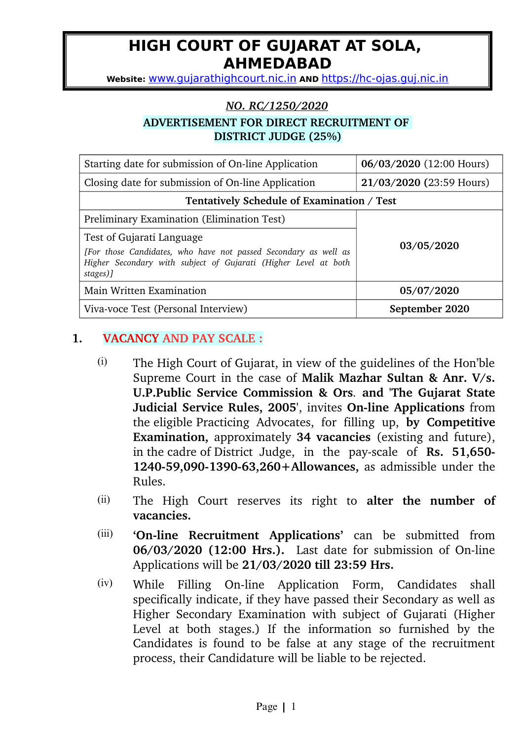# **HIGH COURT OF GUJARAT AT SOLA, AHMEDABAD**

**Website:** [www.gujarathighcourt.nic.in](http://www.gujarathighcourt.nic.in/) **AND** [https://hc-ojas.guj.nic.in](http://hcrec.guj.nic.in:8080/)

#### *NO.RC/1250/2020*

### **ADVERTISEMENT FOR DIRECT RECRUITMENT OF DISTRICT JUDGE (25%)**

| Starting date for submission of On-line Application                                                                                                                         | 06/03/2020 (12:00 Hours) |  |  |  |
|-----------------------------------------------------------------------------------------------------------------------------------------------------------------------------|--------------------------|--|--|--|
| Closing date for submission of On-line Application                                                                                                                          | 21/03/2020 (23:59 Hours) |  |  |  |
| Tentatively Schedule of Examination / Test                                                                                                                                  |                          |  |  |  |
| Preliminary Examination (Elimination Test)                                                                                                                                  |                          |  |  |  |
| Test of Gujarati Language<br>[For those Candidates, who have not passed Secondary as well as<br>Higher Secondary with subject of Gujarati (Higher Level at both<br>stages)] | 03/05/2020               |  |  |  |
| Main Written Examination                                                                                                                                                    | 05/07/2020               |  |  |  |
| Viva-voce Test (Personal Interview)                                                                                                                                         | September 2020           |  |  |  |

### **1. VACANCY AND PAY SCALE :**

- (i) The High Court of Gujarat, in view of the guidelines of the Hon'ble Supreme Court in the case of **Malik Mazhar Sultan & Anr. V/s. U.P.Public Service Commission & Ors***.* **and 'The Gujarat State Judicial Service Rules, 2005', invites On-line Applications** from the eligible Practicing Advocates, for filling up, **by Competitive Examination,** approximately 34 vacancies (existing and future), in the cadre of District Judge, in the payscale of **Rs. 51,650 124059,090139063,260+Allowances,** as admissible under the Rules.
- (ii) The High Court reserves its right to **alter the number of vacancies.**
- (iii) **'On-line Recruitment Applications'** can be submitted from **06/03/2020 (12:00 Hrs.).** Last date for submission of On-line Applications will be **21/03/2020 till 23:59 Hrs.**
- $(iv)$  While Filling On-line Application Form, Candidates shall specifically indicate, if they have passed their Secondary as well as Higher Secondary Examination with subject of Gujarati (Higher Level at both stages.) If the information so furnished by the Candidates is found to be false at any stage of the recruitment process, their Candidature will be liable to be rejected.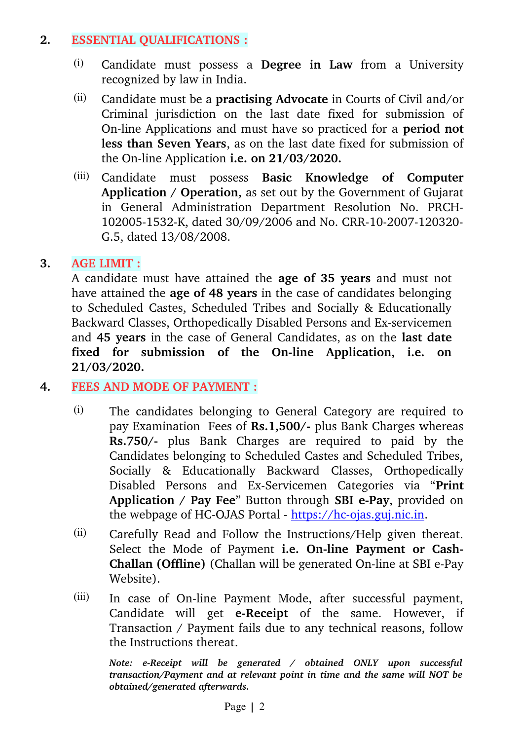## **2. ESSENTIAL QUALIFICATIONS :**

- (i) Candidate must possess a **Degree in Law** from a University recognized by law in India.
- (ii) Candidate must be a **practising Advocate** in Courts of Civil and/or Criminal jurisdiction on the last date fixed for submission of On-line Applications and must have so practiced for a **period not less than Seven Years**, as on the last date fixed for submission of the On-line Application **i.e. on 21/03/2020.**
- (iii) Candidate must possess **Basic Knowledge of Computer Application / Operation,** as set out by the Government of Gujarat in General Administration Department Resolution No. PRCH-102005-1532-K, dated 30/09/2006 and No. CRR-10-2007-120320-G.5, dated 13/08/2008.

# **3. AGE LIMIT :**

A candidate must have attained the **age of 35 years** and must not have attained the **age of 48 years** in the case of candidates belonging to Scheduled Castes, Scheduled Tribes and Socially & Educationally Backward Classes, Orthopedically Disabled Persons and Ex-servicemen and **45 years** in the case of General Candidates, as on the **last date** fixed for submission of the On-line Application, i.e. on **21/03/2020.**

# **4. FEES AND MODE OF PAYMENT :**

- (i) The candidates belonging to General Category are required to pay Examination Fees of **Rs.1,500/-** plus Bank Charges whereas **Rs.750/-** plus Bank Charges are required to paid by the Candidates belonging to Scheduled Castes and Scheduled Tribes, Socially & Educationally Backward Classes, Orthopedically Disabled Persons and Ex-Servicemen Categories via "**Print** Application / Pay Fee" Button through SBI e-Pay, provided on the webpage of HC-OJAS Portal  $-$  https://hc-ojas.guj.nic.in.
- (ii) Carefully Read and Follow the Instructions/Help given thereat. Select the Mode of Payment i.e. On-line Payment or Cash-**Challan (Offline)** (Challan will be generated On-line at SBI e-Pay Website).
- $(iii)$  In case of On-line Payment Mode, after successful payment, Candidate will get **e-Receipt** of the same. However, if Transaction / Payment fails due to any technical reasons, follow the Instructions thereat.

*Note: e-Receipt will be generated / obtained ONLY upon successful transaction/Payment and at relevant point in time and the same will NOT be obtained/generated afterwards.*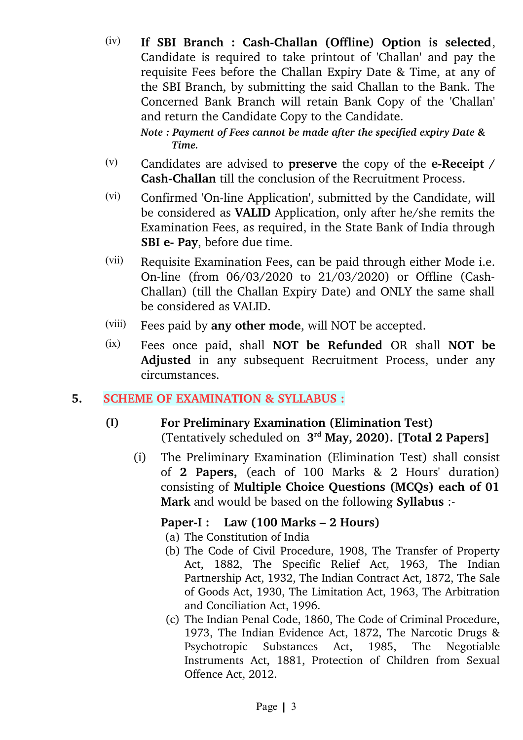(iv) If SBI Branch : Cash-Challan (Offline) Option is selected, Candidate is required to take printout of 'Challan' and pay the requisite Fees before the Challan Expiry Date & Time, at any of the SBI Branch, by submitting the said Challan to the Bank. The Concerned Bank Branch will retain Bank Copy of the 'Challan' and return the Candidate Copy to the Candidate.

*Note : Payment of Fees cannot be made after the specified expiry Date & Time.*

- (v) Candidates are advised to **preserve** the copy of the **eReceipt / Cash-Challan** till the conclusion of the Recruitment Process.
- $(vi)$  Confirmed 'On-line Application', submitted by the Candidate, will be considered as **VALID** Application, only after he/she remits the Examination Fees, as required, in the State Bank of India through **SBI e- Pay**, before due time.
- (vii) Requisite Examination Fees, can be paid through either Mode i.e. On-line (from 06/03/2020 to 21/03/2020) or Offline (Cash-Challan) (till the Challan Expiry Date) and ONLY the same shall be considered as VALID.
- (viii) Fees paid by **any other mode**, will NOT be accepted.
- (ix) Fees once paid, shall **NOT be Refunded** OR shall **NOT be** Adjusted in any subsequent Recruitment Process, under any circumstances.

### **5. SCHEME OF EXAMINATION & SYLLABUS :**

- **(I) For Preliminary Examination (Elimination Test)** (Tentatively scheduled on **3 rd May, 2020). [Total 2 Papers]**
	- (i) The Preliminary Examination (Elimination Test) shall consist of 2 Papers, (each of 100 Marks & 2 Hours' duration) consisting of **Multiple Choice Questions (MCQs) each of 01 Mark** and would be based on the following **Syllabus** :

# **PaperI : Law (100 Marks – 2 Hours)**

(a) The Constitution of India

- (b) The Code of Civil Procedure, 1908, The Transfer of Property Act, 1882, The Specific Relief Act, 1963, The Indian Partnership Act, 1932, The Indian Contract Act, 1872, The Sale of Goods Act, 1930, The Limitation Act, 1963, The Arbitration and Conciliation Act, 1996.
- (c) The Indian Penal Code, 1860, The Code of Criminal Procedure, 1973, The Indian Evidence Act, 1872, The Narcotic Drugs & Psychotropic Substances Act, 1985, The Negotiable Instruments Act, 1881, Protection of Children from Sexual Offence Act, 2012.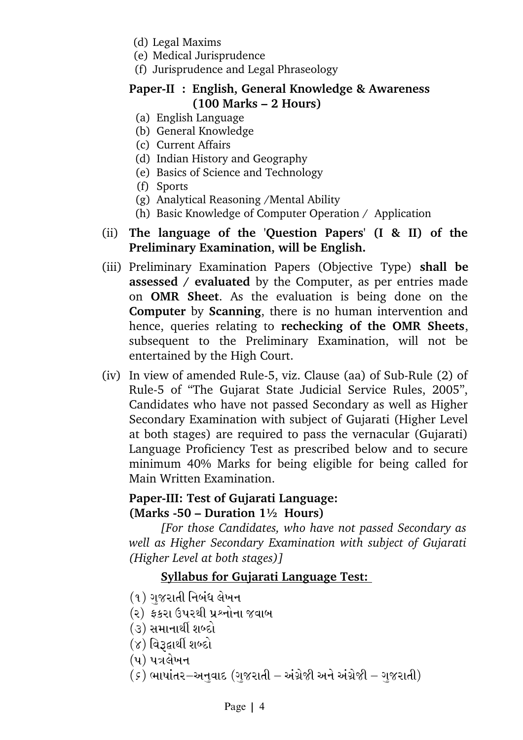- (d) Legal Maxims
- (e) Medical Jurisprudence
- (f) Jurisprudence and Legal Phraseology

# **Paper-II : English, General Knowledge & Awareness (100 Marks – 2 Hours)**

- (a) English Language
- (b) General Knowledge
- (c) Current Affairs
- (d) Indian History and Geography
- (e) Basics of Science and Technology
- (f) Sports
- (g) Analytical Reasoning /Mental Ability
- (h) Basic Knowledge of Computer Operation / Application
- (ii) **The language of the 'Question Papers' (I & II) of the Preliminary Examination, will be English.**
- (iii) Preliminary Examination Papers (Objective Type) **shall be assessed / evaluated** by the Computer, as per entries made on **OMR Sheet**. As the evaluation is being done on the **Computer** by **Scanning**, there is no human intervention and hence, queries relating to **rechecking of the OMR Sheets**, subsequent to the Preliminary Examination, will not be entertained by the High Court.
- (iv) In view of amended Rule-5, viz. Clause (aa) of Sub-Rule  $(2)$  of Rule5 of "The Gujarat State Judicial Service Rules, 2005", Candidates who have not passed Secondary as well as Higher Secondary Examination with subject of Gujarati (Higher Level at both stages) are required to pass the vernacular (Gujarati) Language Proficiency Test as prescribed below and to secure minimum 40% Marks for being eligible for being called for Main Written Examination.

### Paper-III: Test of Gujarati Language: **(Marks 50 – Duration 1½ Hours)**

*[For those Candidates, who have not passed Secondary as well as Higher Secondary Examination with subject of Gujarati (Higher Level at both stages)]* 

# **Syllabus for Gujarati Language Test:**

- (૧) ગજરાતી નિબંધ લેખન
- (૨) કકરા ઉપરથી પ્રશ્નોના જવાબ
- (૩) સમાનાર્થી શબ્દો
- $(8)$  વિરૂદ્વાર્થી શબ્દો
- $(y)$  પત્રલેખન
- $\sigma(\varepsilon)$  ભાષાંતર $-$ અનવાદ (ગજરાતી અંગ્રેજી અને અંગ્રેજી ગજરાતી)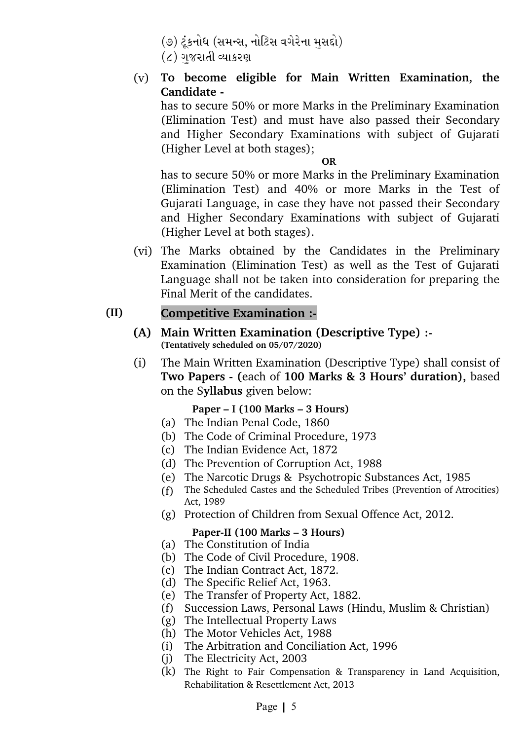- (૭) ટૂંકનોધ (સમન્સ, નોટિસ વગેરેના મુસદ્દો)
- $\epsilon$  ) ગજરાતી વ્યાકરણ
- (v) **To become eligible for Main Written Examination, the Candidate**

has to secure 50% or more Marks in the Preliminary Examination (Elimination Test) and must have also passed their Secondary and Higher Secondary Examinations with subject of Gujarati (Higher Level at both stages);

**OR** 

has to secure 50% or more Marks in the Preliminary Examination (Elimination Test) and 40% or more Marks in the Test of Gujarati Language, in case they have not passed their Secondary and Higher Secondary Examinations with subject of Gujarati (Higher Level at both stages).

(vi) The Marks obtained by the Candidates in the Preliminary Examination (Elimination Test) as well as the Test of Gujarati Language shall not be taken into consideration for preparing the Final Merit of the candidates.

# **(II) Competitive Examination :**

- **(A) Main Written Examination (Descriptive Type) : (Tentatively scheduled on 05/07/2020)**
- (i) The Main Written Examination (Descriptive Type) shall consist of **Two Papers (**each of **100 Marks & 3 Hours' duration),** based on the S**yllabus** given below:

#### **Paper – I (100 Marks – 3 Hours)**

- (a) The Indian Penal Code, 1860
- (b) The Code of Criminal Procedure, 1973
- (c) The Indian Evidence Act, 1872
- (d) The Prevention of Corruption Act, 1988
- (e) The Narcotic Drugs & Psychotropic Substances Act, 1985
- (f) The Scheduled Castes and the Scheduled Tribes (Prevention of Atrocities) Act, 1989
- (g) Protection of Children from Sexual Offence Act, 2012.

#### Paper-II (100 Marks – 3 Hours)

- (a) The Constitution of India
- (b) The Code of Civil Procedure, 1908.
- (c) The Indian Contract Act, 1872.
- (d) The Specific Relief Act, 1963.
- (e) The Transfer of Property Act, 1882.
- (f) Succession Laws, Personal Laws (Hindu, Muslim & Christian)
- (g) The Intellectual Property Laws
- (h) The Motor Vehicles Act, 1988
- (i) The Arbitration and Conciliation Act, 1996
- (j) The Electricity Act, 2003
- (k) The Right to Fair Compensation & Transparency in Land Acquisition, Rehabilitation & Resettlement Act, 2013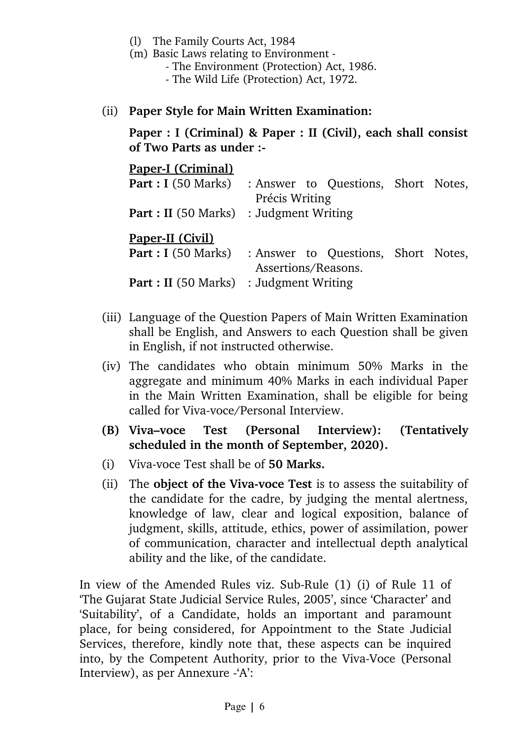- (l) The Family Courts Act, 1984
- (m) Basic Laws relating to Environment
	- The Environment (Protection) Act, 1986.
	- The Wild Life (Protection) Act, 1972.
- (ii) **Paper Style for Main Written Examination:**

**Paper : I (Criminal) & Paper : II (Civil), each shall consist of Two Parts as under :**

Paper-I (Criminal)

|                                                | <b>Part : I</b> (50 Marks) : Answer to Questions, Short Notes, |  |  |
|------------------------------------------------|----------------------------------------------------------------|--|--|
|                                                | Précis Writing                                                 |  |  |
|                                                | <b>Part : II</b> (50 Marks) : Judgment Writing                 |  |  |
| <b>Paper-II (Civil)</b>                        |                                                                |  |  |
|                                                | <b>Part : I</b> (50 Marks) : Answer to Questions, Short Notes, |  |  |
|                                                | Assertions/Reasons.                                            |  |  |
| <b>Part : II</b> (50 Marks) : Judgment Writing |                                                                |  |  |

- (iii) Language of the Question Papers of Main Written Examination shall be English, and Answers to each Question shall be given in English, if not instructed otherwise.
- (iv) The candidates who obtain minimum 50% Marks in the aggregate and minimum 40% Marks in each individual Paper in the Main Written Examination, shall be eligible for being called for Viva-voce/Personal Interview.
- **(B) Viva–voce Test (Personal Interview): (Tentatively scheduled in the month of September, 2020).**
- (i) Viva-voce Test shall be of **50 Marks.**
- (ii) The **object of the Viva-voce Test** is to assess the suitability of the candidate for the cadre, by judging the mental alertness, knowledge of law, clear and logical exposition, balance of judgment, skills, attitude, ethics, power of assimilation, power of communication, character and intellectual depth analytical ability and the like, of the candidate.

In view of the Amended Rules viz. Sub-Rule (1) (i) of Rule 11 of 'The Gujarat State Judicial Service Rules, 2005', since 'Character' and 'Suitability', of a Candidate, holds an important and paramount place, for being considered, for Appointment to the State Judicial Services, therefore, kindly note that, these aspects can be inquired into, by the Competent Authority, prior to the Viva-Voce (Personal Interview), as per Annexure 'A':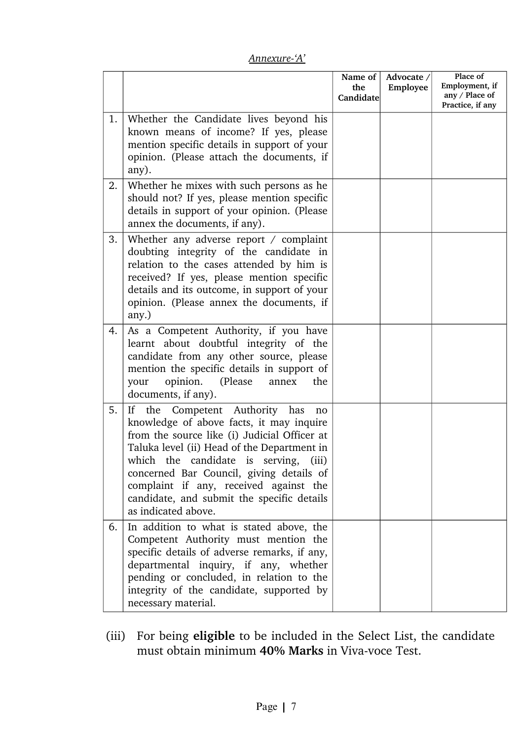| Annexure-'A' |
|--------------|
|--------------|

|    |                                                                                                                                                                                                                                                                                                                                                                                           | Name of<br>the<br>Candidate | Advocate /<br>Employee | Place of<br>Employment, if<br>any / Place of<br>Practice, if any |
|----|-------------------------------------------------------------------------------------------------------------------------------------------------------------------------------------------------------------------------------------------------------------------------------------------------------------------------------------------------------------------------------------------|-----------------------------|------------------------|------------------------------------------------------------------|
| 1. | Whether the Candidate lives beyond his<br>known means of income? If yes, please<br>mention specific details in support of your<br>opinion. (Please attach the documents, if<br>any).                                                                                                                                                                                                      |                             |                        |                                                                  |
| 2. | Whether he mixes with such persons as he<br>should not? If yes, please mention specific<br>details in support of your opinion. (Please<br>annex the documents, if any).                                                                                                                                                                                                                   |                             |                        |                                                                  |
| 3. | Whether any adverse report / complaint<br>doubting integrity of the candidate in<br>relation to the cases attended by him is<br>received? If yes, please mention specific<br>details and its outcome, in support of your<br>opinion. (Please annex the documents, if<br>any.)                                                                                                             |                             |                        |                                                                  |
| 4. | As a Competent Authority, if you have<br>learnt about doubtful integrity of the<br>candidate from any other source, please<br>mention the specific details in support of<br>opinion.<br>(Please)<br>annex<br>the<br>your<br>documents, if any).                                                                                                                                           |                             |                        |                                                                  |
| 5. | the Competent Authority has<br>If<br>no<br>knowledge of above facts, it may inquire<br>from the source like (i) Judicial Officer at<br>Taluka level (ii) Head of the Department in<br>which the candidate is serving,<br>(iii)<br>concerned Bar Council, giving details of<br>complaint if any, received against the<br>candidate, and submit the specific details<br>as indicated above. |                             |                        |                                                                  |
| 6. | In addition to what is stated above, the<br>Competent Authority must mention the<br>specific details of adverse remarks, if any,<br>departmental inquiry, if any, whether<br>pending or concluded, in relation to the<br>integrity of the candidate, supported by<br>necessary material.                                                                                                  |                             |                        |                                                                  |

(iii) For being **eligible** to be included in the Select List, the candidate must obtain minimum 40% Marks in Viva-voce Test.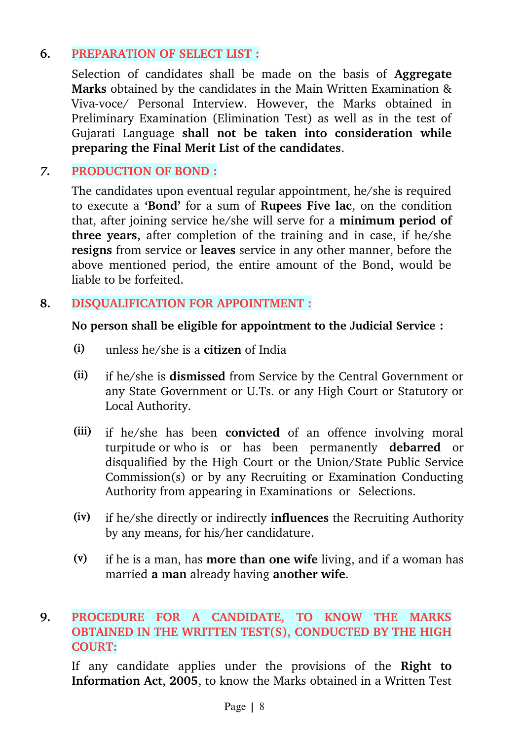# **6. PREPARATION OF SELECT LIST :**

Selection of candidates shall be made on the basis of **Aggregate Marks** obtained by the candidates in the Main Written Examination & Viva-voce/ Personal Interview. However, the Marks obtained in Preliminary Examination (Elimination Test) as well as in the test of Gujarati Language **shall not be taken into consideration while preparing the Final Merit List of the candidates**.

# *7.* **PRODUCTION OF BOND :**

The candidates upon eventual regular appointment, he/she is required to execute a **'Bond'** for a sum of **Rupees Five lac**, on the condition that, after joining service he/she will serve for a **minimum period of three years,** after completion of the training and in case, if he/she **resigns** from service or **leaves** service in any other manner, before the above mentioned period, the entire amount of the Bond, would be liable to be forfeited.

# **8. DISQUALIFICATION FOR APPOINTMENT :**

### **No person shall be eligible for appointment to the Judicial Service :**

- (i) unless he/she is a **citizen** of India
- (ii) if he/she is **dismissed** from Service by the Central Government or any State Government or U.Ts. or any High Court or Statutory or Local Authority.
- (iii) if he/she has been **convicted** of an offence involving moral turpitude or who is or has been permanently **debarred** or disqualified by the High Court or the Union/State Public Service Commission(s) or by any Recruiting or Examination Conducting Authority from appearing in Examinations or Selections.
- (iv) if he/she directly or indirectly **influences** the Recruiting Authority by any means, for his/her candidature.
- (v) if he is a man, has **more than one wife** living, and if a woman has married **a man** already having **another wife**.

# **9. PROCEDURE FOR A CANDIDATE, TO KNOW THE MARKS OBTAINED IN THE WRITTEN TEST(S), CONDUCTED BY THE HIGH COURT:**

If any candidate applies under the provisions of the Right to **Information Act**, **2005**, to know the Marks obtained in a Written Test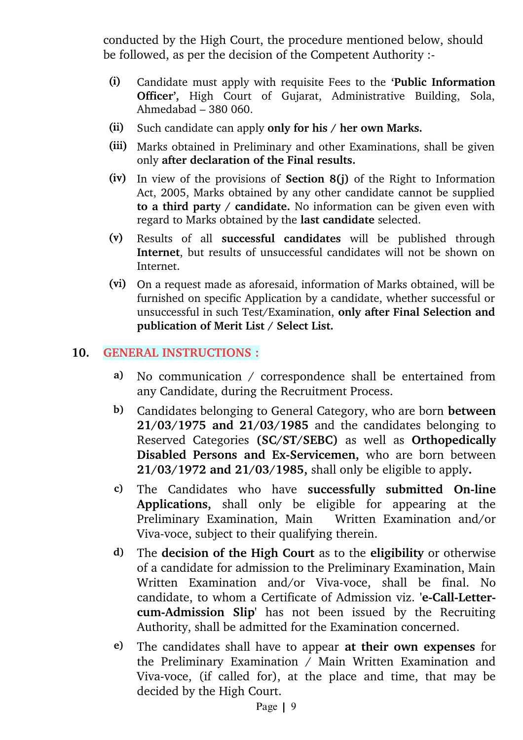conducted by the High Court, the procedure mentioned below, should be followed, as per the decision of the Competent Authority :

- (i) Candidate must apply with requisite Fees to the **'Public Information Officer',** High Court of Gujarat, Administrative Building, Sola, Ahmedabad – 380 060.
- (ii) Such candidate can apply **only for his / her own Marks.**
- (iii) Marks obtained in Preliminary and other Examinations, shall be given only **after declaration of the Final results.**
- (iv) In view of the provisions of **Section 8(j)** of the Right to Information Act, 2005, Marks obtained by any other candidate cannot be supplied **to a third party / candidate.** No information can be given even with regard to Marks obtained by the **last candidate** selected.
- (v) Results of all **successful candidates** will be published through **Internet**, but results of unsuccessful candidates will not be shown on Internet.
- (vi) On a request made as aforesaid, information of Marks obtained, will be furnished on specific Application by a candidate, whether successful or unsuccessful in such Test/Examination, **only after Final Selection and publication of Merit List / Select List.**

### **10. GENERAL INSTRUCTIONS :**

- **a)** No communication / correspondence shall be entertained from any Candidate, during the Recruitment Process.
- **b)** Candidates belonging to General Category, who are born **between 21/03/1975 and 21/03/1985** and the candidates belonging to Reserved Categories **(SC/ST/SEBC)** as well as **Orthopedically Disabled Persons and Ex-Servicemen,** who are born between **21/03/1972 and 21/03/1985,** shall only be eligible to apply**.**
- **c**) The Candidates who have **successfully submitted On-line Applications,** shall only be eligible for appearing at the Preliminary Examination, Main Mritten Examination and/or Viva-voce, subject to their qualifying therein.
- **d)** The **decision of the High Court** as to the **eligibility** or otherwise of a candidate for admission to the Preliminary Examination, Main Written Examination and/or Viva-voce, shall be final. No candidate, to whom a Certificate of Admission viz. 'e-Call-Letter**cum-Admission Slip'** has not been issued by the Recruiting Authority, shall be admitted for the Examination concerned.
- **e)** The candidates shall have to appear **at their own expenses** for the Preliminary Examination  $\overline{\smash{\big)}\,}$  Main Written Examination and Viva-voce, (if called for), at the place and time, that may be decided by the High Court.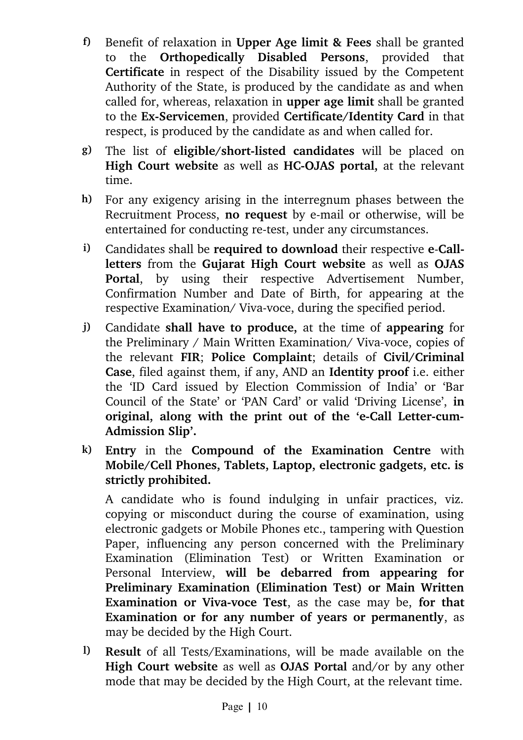- **f)** Benefit of relaxation in **Upper Age limit & Fees** shall be granted to the **Orthopedically Disabled Persons**, provided that **Certificate** in respect of the Disability issued by the Competent Authority of the State, is produced by the candidate as and when called for, whereas, relaxation in **upper age limit** shall be granted to the **Ex-Servicemen**, provided **Certificate/Identity Card** in that respect, is produced by the candidate as and when called for.
- **g**) The list of **eligible/short-listed candidates** will be placed on **High Court website** as well as **HC-OJAS** portal, at the relevant time.
- **h)** For any exigency arising in the interregnum phases between the Recruitment Process, **no request** by email or otherwise, will be entertained for conducting re-test, under any circumstances.
- **i)** Candidates shall be **required to download** their respective **eCall**letters from the Gujarat High Court website as well as OJAS Portal, by using their respective Advertisement Number, Confirmation Number and Date of Birth, for appearing at the respective Examination/ Viva-voce, during the specified period.
- **j)** Candidate **shall have to produce,** at the time of **appearing** for the Preliminary / Main Written Examination/ Viva-voce, copies of the relevant **FIR**; **Police Complaint**; details of **Civil/Criminal Case**, filed against them, if any, AND an **Identity proof** i.e. either the 'ID Card issued by Election Commission of India' or 'Bar Council of the State' or 'PAN Card' or valid 'Driving License', **in** original, along with the print out of the 'e-Call Letter-cum-**Admission Slip'.**
- **k) Entry** in the **Compound of the Examination Centre** with **Mobile/Cell Phones, Tablets, Laptop, electronic gadgets, etc. is strictly prohibited.**

A candidate who is found indulging in unfair practices, viz. copying or misconduct during the course of examination, using electronic gadgets or Mobile Phones etc., tampering with Question Paper, influencing any person concerned with the Preliminary Examination (Elimination Test) or Written Examination or Personal Interview, **will be debarred from appearing for Preliminary Examination (Elimination Test) or Main Written Examination or Viva-voce Test**, as the case may be, for that **Examination or for any number of years or permanently**, as may be decided by the High Court.

**l) Result** of all Tests/Examinations, will be made available on the **High Court website** as well as **OJAS Portal** and/or by any other mode that may be decided by the High Court, at the relevant time.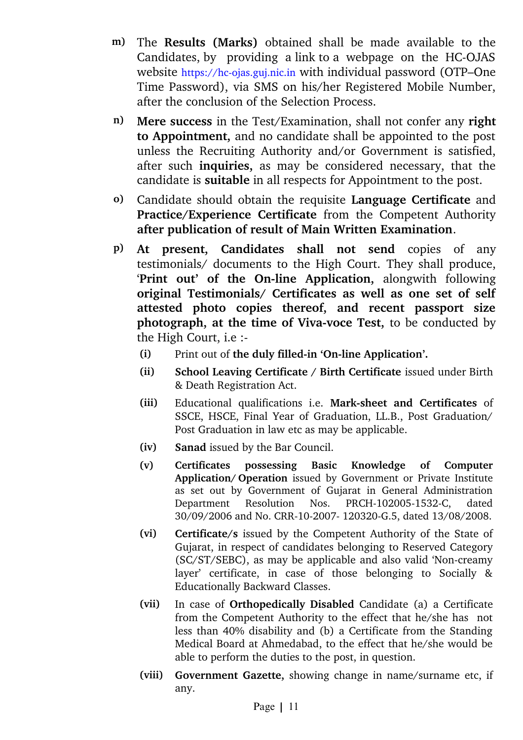- m) The **Results (Marks)** obtained shall be made available to the Candidates, by providing a link to a webpage on the HC-OJAS website https://hc-ojas.guj.nic.in with individual password (OTP–One Time Password), via SMS on his/her Registered Mobile Number, after the conclusion of the Selection Process.
- **n) Mere success** in the Test/Examination, shall not confer any **right to Appointment,** and no candidate shall be appointed to the post unless the Recruiting Authority and/or Government is satisfied, after such **inquiries,** as may be considered necessary, that the candidate is **suitable** in all respects for Appointment to the post.
- **o)** Candidate should obtain the requisite **Language Certificate** and **Practice/Experience Certificate** from the Competent Authority **after publication of result of Main Written Examination**.
- **p) At present, Candidates shall not send** copies of any testimonials/ documents to the High Court. They shall produce, 'Print out' of the On-line Application, alongwith following **original Testimonials/ Certificates as well as one set of self attested photo copies thereof, and recent passport size photograph, at the time of Viva-voce Test, to be conducted by** the High Court, i.e :
	- (i) Print out of the duly filled-in 'On-line Application'.
	- **(ii) School Leaving Certificate / Birth Certificate** issued under Birth & Death Registration Act.
	- **(iii)** Educational qualifications i.e. **Marksheet and Certificates** of SSCE, HSCE, Final Year of Graduation, LL.B., Post Graduation/ Post Graduation in law etc as may be applicable.
	- **(iv) Sanad** issued by the Bar Council.
	- **(v) Certificates possessing Basic Knowledge of Computer Application/ Operation** issued by Government or Private Institute as set out by Government of Gujarat in General Administration Department Resolution Nos. PRCH-102005-1532-C, dated 30/09/2006 and No. CRR-10-2007-120320-G.5, dated 13/08/2008.
	- **(vi) Certificate/s** issued by the Competent Authority of the State of Gujarat, in respect of candidates belonging to Reserved Category (SC/ST/SEBC), as may be applicable and also valid 'Non-creamy layer' certificate, in case of those belonging to Socially & Educationally Backward Classes.
	- **(vii)** In case of **Orthopedically Disabled** Candidate (a) a Certificate from the Competent Authority to the effect that he/she has not less than 40% disability and (b) a Certificate from the Standing Medical Board at Ahmedabad, to the effect that he/she would be able to perform the duties to the post, in question.
	- **(viii) Government Gazette,** showing change in name/surname etc, if any.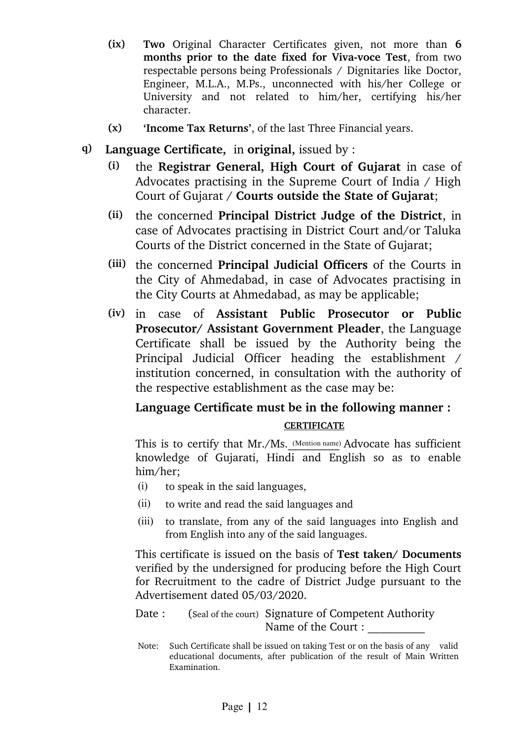- **(ix) Two** Original Character Certificates given, not more than **6** months prior to the date fixed for Viva-voce Test, from two respectable persons being Professionals / Dignitaries like Doctor, Engineer, M.L.A., M.Ps., unconnected with his/her College or University and not related to him/her, certifying his/her character.
- **(x) 'Income Tax Returns'**, of the last Three Financial years.
- **q) Language Certificate,** in **original,** issued by :
	- **(i)** the **Registrar General, High Court of Gujarat** in case of Advocates practising in the Supreme Court of India / High Court of Gujarat / **Courts outside the State of Gujarat**;
	- **(ii)** the concerned **Principal District Judge of the District**, in case of Advocates practising in District Court and/or Taluka Courts of the District concerned in the State of Gujarat;
	- **(iii)** the concerned **Principal Judicial Officers** of the Courts in the City of Ahmedabad, in case of Advocates practising in the City Courts at Ahmedabad, as may be applicable;
	- **(iv)** in case of **Assistant Public Prosecutor or Public Prosecutor/ Assistant Government Pleader**, the Language Certificate shall be issued by the Authority being the Principal Judicial Officer heading the establishment / institution concerned, in consultation with the authority of the respective establishment as the case may be:

# **Language Certificate must be in the following manner : CERTIFICATE**

This is to certify that Mr./Ms. (Mention name) Advocate has sufficient knowledge of Gujarati, Hindi and English so as to enable him/her;

- (i) to speak in the said languages,
- (ii) to write and read the said languages and
- (iii) to translate, from any of the said languages into English and from English into any of the said languages.

This certificate is issued on the basis of **Test taken/ Documents** verified by the undersigned for producing before the High Court for Recruitment to the cadre of District Judge pursuant to the Advertisement dated 05/03/2020.

Date : (Seal of the court) Signature of Competent Authority Name of the Court :

Note: Such Certificate shall be issued on taking Test or on the basis of any valid educational documents, after publication of the result of Main Written Examination.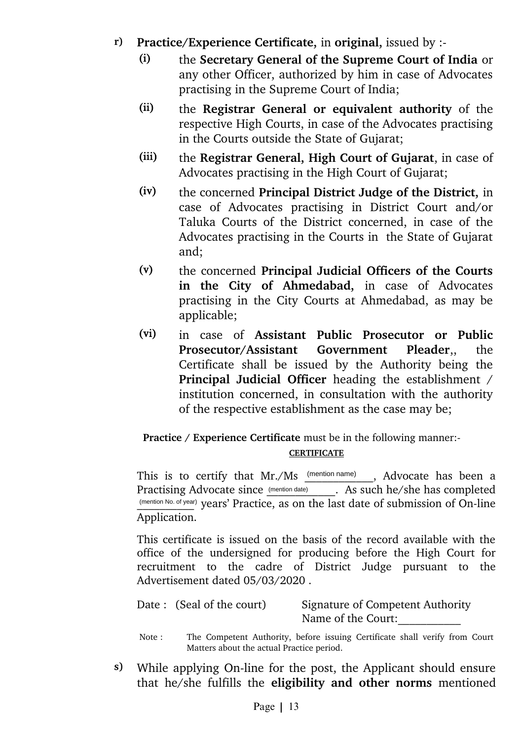- **r) Practice/Experience Certificate,** in **original,** issued by :
	- (i) the **Secretary General of the Supreme Court of India** or any other Officer, authorized by him in case of Advocates practising in the Supreme Court of India;
	- (ii) the **Registrar General or equivalent authority** of the respective High Courts, in case of the Advocates practising in the Courts outside the State of Gujarat;
	- (iii) the **Registrar General, High Court of Gujarat**, in case of Advocates practising in the High Court of Gujarat;
	- (iv) the concerned **Principal District Judge of the District,** in case of Advocates practising in District Court and/or Taluka Courts of the District concerned, in case of the Advocates practising in the Courts in the State of Gujarat and;
	- (v) the concerned **Principal Judicial Officers of the Courts** in the City of Ahmedabad, in case of Advocates practising in the City Courts at Ahmedabad, as may be applicable;
	- (vi) in case of **Assistant Public Prosecutor or Public Prosecutor/Assistant Government Pleader**,, the Certificate shall be issued by the Authority being the **Principal Judicial Officer** heading the establishment / institution concerned, in consultation with the authority of the respective establishment as the case may be;

#### **Practice / Experience Certificate** must be in the following manner:-**CERTIFICATE**

This is to certify that Mr./Ms (mention name), Advocate has been a Practising Advocate since (mention date) . As such he/she has completed (mention No. of year) years' Practice, as on the last date of submission of On-line Application.

This certificate is issued on the basis of the record available with the office of the undersigned for producing before the High Court for recruitment to the cadre of District Judge pursuant to the Advertisement dated 05/03/2020 .

| Date : (Seal of the court) | <b>Signature of Competent Authority</b> |
|----------------------------|-----------------------------------------|
|                            | Name of the Court:                      |

- Note : The Competent Authority, before issuing Certificate shall verify from Court Matters about the actual Practice period.
- **s**) While applying On-line for the post, the Applicant should ensure that he/she fulfills the **eligibility and other norms** mentioned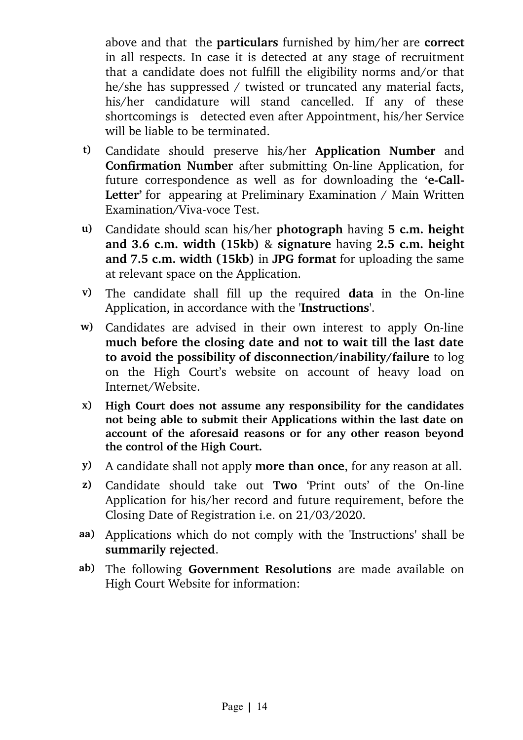above and that the **particulars** furnished by him/her are **correct** in all respects. In case it is detected at any stage of recruitment that a candidate does not fulfill the eligibility norms and/or that he/she has suppressed / twisted or truncated any material facts, his/her candidature will stand cancelled. If any of these shortcomings is detected even after Appointment, his/her Service will be liable to be terminated.

- **t)** Candidate should preserve his/her **Application Number** and **Confirmation Number** after submitting On-line Application, for future correspondence as well as for downloading the 'e-Call-**Letter'** for appearing at Preliminary Examination / Main Written Examination/Viva-voce Test.
- **u)** Candidate should scan his/her **photograph** having **5 c.m. height and 3.6 c.m. width (15kb)** & **signature** having **2.5 c.m. height and 7.5 c.m. width (15kb)** in **JPG format** for uploading the same at relevant space on the Application.
- **v**) The candidate shall fill up the required **data** in the On-line Application, in accordance with the '**Instructions**'.
- w) Candidates are advised in their own interest to apply On-line **much before the closing date and not to wait till the last date to avoid the possibility of disconnection/inability/failure** to log on the High Court's website on account of heavy load on Internet/Website.
- **x) High Court does not assume any responsibility for the candidates not being able to submit their Applications within the last date on account of the aforesaid reasons or for any other reason beyond the control of the High Court.**
- **y)** A candidate shall not apply **more than once**, for any reason at all.
- **z**) Candidate should take out **Two** 'Print outs' of the On-line Application for his/her record and future requirement, before the Closing Date of Registration i.e. on 21/03/2020.
- **aa)** Applications which do not comply with the 'Instructions**'** shall be **summarily rejected**.
- **ab)** The following **Government Resolutions** are made available on High Court Website for information: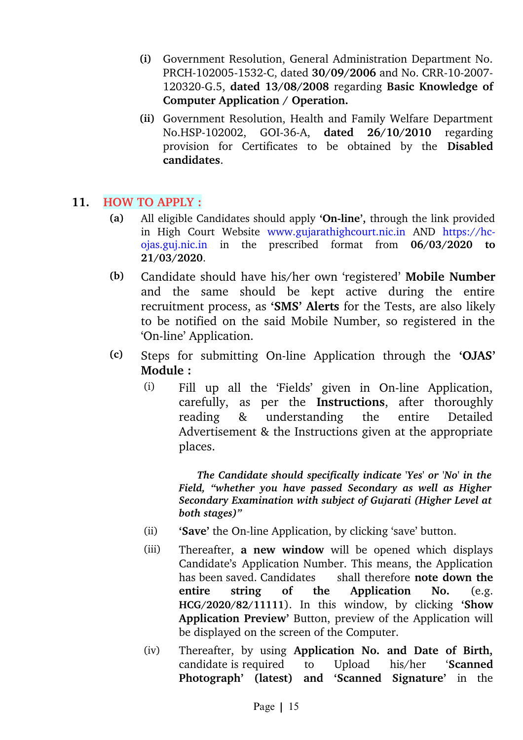- **(i)** Government Resolution, General Administration Department No. PRCH-102005-1532-C, dated **30/09/2006** and No. CRR-10-2007-120320G.5, **dated 13/08/2008** regarding **Basic Knowledge of Computer Application / Operation.**
- **(ii)** Government Resolution, Health and Family Welfare Department No.HSP102002, GOI36A, **dated 26/10/2010** regarding provision for Certificates to be obtained by the **Disabled candidates**.

### **11. HOW TO APPLY :**

- **(a)** All eligible Candidates should apply **'On-line',** through the link provided in High Court Website www.gujarathighcourt.nic.in AND https://hcojas.guj.nic.in in the prescribed format from **06/03/2020 to 21/03/2020**.
- **(b)** Candidate should have his/her own 'registered' **Mobile Number** and the same should be kept active during the entire recruitment process, as **'SMS' Alerts** for the Tests, are also likely to be notified on the said Mobile Number, so registered in the 'On-line' Application.
- **(c)** Steps for submitting On-line Application through the **'OJAS' Module :**
	- (i) Fill up all the 'Fields' given in On-line Application, carefully, as per the **Instructions**, after thoroughly reading & understanding the entire Detailed Advertisement & the Instructions given at the appropriate places.

 *The Candidate should specifically indicate 'Yes' or 'No' in the Field, "whether you have passed Secondary as well as Higher Secondary Examination with subject of Gujarati (Higher Level at both stages)"*

- (ii) **'Save'** the On-line Application, by clicking 'save' button.
- (iii) Thereafter, **a new window** will be opened which displays Candidate's Application Number. This means, the Application has been saved. Candidates shall therefore **note down the entire string of the Application No.** (e.g. **HCG/2020/82/11111**). In this window, by clicking **'Show Application Preview'** Button, preview of the Application will be displayed on the screen of the Computer.
- (iv) Thereafter, by using **Application No. and Date of Birth,** candidate is required to Upload his/her '**Scanned Photograph' (latest) and 'Scanned Signature'** in the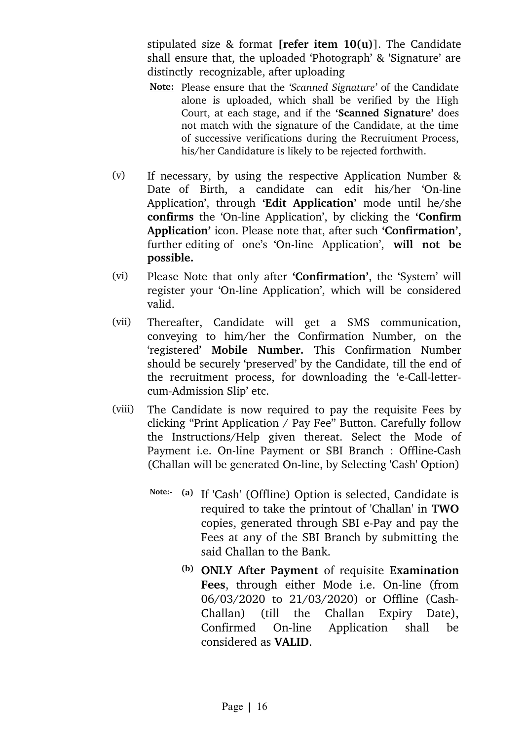stipulated size & format **[refer item 10(u)**]. The Candidate shall ensure that, the uploaded 'Photograph' & 'Signature' are distinctly recognizable, after uploading

- **Note:** Please ensure that the *'Scanned Signature'* of the Candidate alone is uploaded, which shall be verified by the High Court, at each stage, and if the **'Scanned Signature'** does not match with the signature of the Candidate, at the time of successive verifications during the Recruitment Process, his/her Candidature is likely to be rejected forthwith.
- (v) If necessary, by using the respective Application Number & Date of Birth, a candidate can edit his/her 'On-line Application', through 'Edit Application' mode until he/she confirms the 'On-line Application', by clicking the 'Confirm **Application'** icon. Please note that, after such **'Confirmation',** further editing of one's 'On-line Application', will not be **possible.**
- (vi) Please Note that only after **'Confirmation'**, the 'System' will register your 'On-line Application', which will be considered valid.
- (vii) Thereafter, Candidate will get a SMS communication, conveying to him/her the Confirmation Number, on the 'registered' **Mobile Number.** This Confirmation Number should be securely 'preserved' by the Candidate, till the end of the recruitment process, for downloading the 'e-Call-lettercum-Admission Slip' etc.
- (viii) The Candidate is now required to pay the requisite Fees by clicking "Print Application / Pay Fee" Button. Carefully follow the Instructions/Help given thereat. Select the Mode of Payment i.e. On-line Payment or SBI Branch : Offline-Cash (Challan will be generated On-line, by Selecting 'Cash' Option)
	- **Note: (a)** If 'Cash' (Offline) Option is selected, Candidate is required to take the printout of 'Challan' in **TWO** copies, generated through SBI e-Pay and pay the Fees at any of the SBI Branch by submitting the said Challan to the Bank.
		- **(b) ONLY After Payment** of requisite **Examination Fees**, through either Mode i.e. On-line (from 06/03/2020 to 21/03/2020) or Offline (Cash-Challan) (till the Challan Expiry Date), Confirmed On-line Application shall be considered as **VALID**.